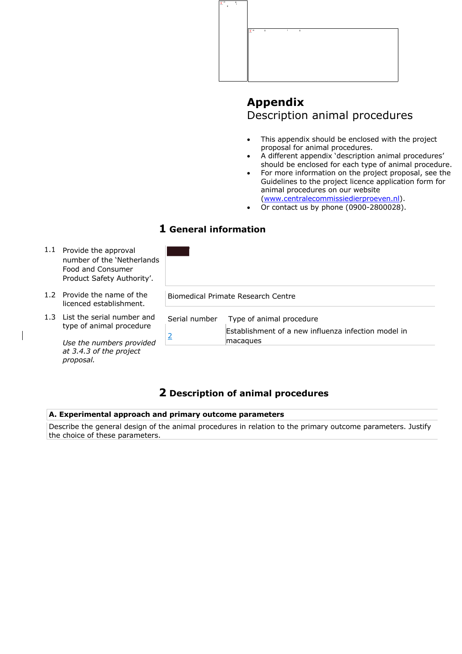

# **Appendix** Description animal procedures

- This appendix should be enclosed with the project proposal for animal procedures.
- A different appendix 'description animal procedures' should be enclosed for each type of animal procedure.
- For more information on the project proposal, see the Guidelines to the project licence application form for animal procedures on our website (www.centralecommissiedierproeven.nl).
- Or contact us by phone (0900-2800028).

## **1 General information**

| $1.1\,$ | Provide the approval<br>number of the 'Netherlands'<br>Food and Consumer<br>Product Safety Authority'. |               |                                                                 |
|---------|--------------------------------------------------------------------------------------------------------|---------------|-----------------------------------------------------------------|
|         | 1.2 Provide the name of the<br>licenced establishment.                                                 |               | Biomedical Primate Research Centre                              |
|         | 1.3 List the serial number and<br>type of animal procedure                                             | Serial number | Type of animal procedure                                        |
|         | Use the numbers provided                                                                               | 2             | Establishment of a new influenza infection model in<br>macagues |
|         | at 3.4.3 of the project                                                                                |               |                                                                 |

## **2 Description of animal procedures**

## **A. Experimental approach and primary outcome parameters**

*proposal.*

Describe the general design of the animal procedures in relation to the primary outcome parameters. Justify the choice of these parameters.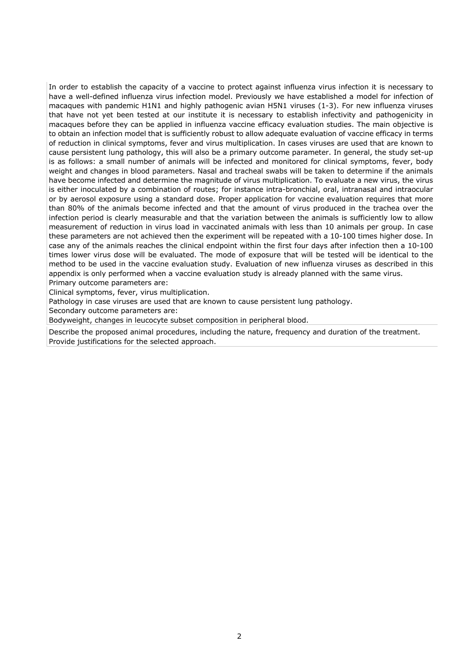In order to establish the capacity of a vaccine to protect against influenza virus infection it is necessary to have a well-defined influenza virus infection model. Previously we have established a model for infection of macaques with pandemic H1N1 and highly pathogenic avian H5N1 viruses (1-3). For new influenza viruses that have not yet been tested at our institute it is necessary to establish infectivity and pathogenicity in macaques before they can be applied in influenza vaccine efficacy evaluation studies. The main objective is to obtain an infection model that is sufficiently robust to allow adequate evaluation of vaccine efficacy in terms of reduction in clinical symptoms, fever and virus multiplication. In cases viruses are used that are known to cause persistent lung pathology, this will also be a primary outcome parameter. In general, the study set-up is as follows: a small number of animals will be infected and monitored for clinical symptoms, fever, body weight and changes in blood parameters. Nasal and tracheal swabs will be taken to determine if the animals have become infected and determine the magnitude of virus multiplication. To evaluate a new virus, the virus is either inoculated by a combination of routes; for instance intra-bronchial, oral, intranasal and intraocular or by aerosol exposure using a standard dose. Proper application for vaccine evaluation requires that more than 80% of the animals become infected and that the amount of virus produced in the trachea over the infection period is clearly measurable and that the variation between the animals is sufficiently low to allow measurement of reduction in virus load in vaccinated animals with less than 10 animals per group. In case these parameters are not achieved then the experiment will be repeated with a 10-100 times higher dose. In case any of the animals reaches the clinical endpoint within the first four days after infection then a 10-100 times lower virus dose will be evaluated. The mode of exposure that will be tested will be identical to the method to be used in the vaccine evaluation study. Evaluation of new influenza viruses as described in this appendix is only performed when a vaccine evaluation study is already planned with the same virus. Primary outcome parameters are:

Clinical symptoms, fever, virus multiplication.

Pathology in case viruses are used that are known to cause persistent lung pathology.

Secondary outcome parameters are:

Bodyweight, changes in leucocyte subset composition in peripheral blood.

Describe the proposed animal procedures, including the nature, frequency and duration of the treatment. Provide justifications for the selected approach.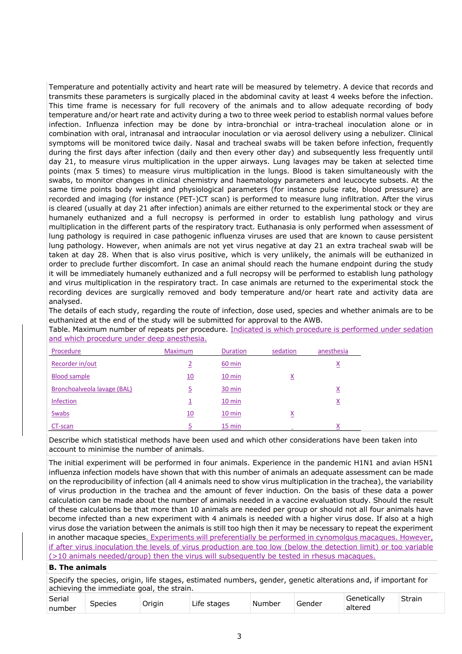Temperature and potentially activity and heart rate will be measured by telemetry. A device that records and transmits these parameters is surgically placed in the abdominal cavity at least 4 weeks before the infection. This time frame is necessary for full recovery of the animals and to allow adequate recording of body temperature and/or heart rate and activity during a two to three week period to establish normal values before infection. Influenza infection may be done by intra-bronchial or intra-tracheal inoculation alone or in combination with oral, intranasal and intraocular inoculation or via aerosol delivery using a nebulizer. Clinical symptoms will be monitored twice daily. Nasal and tracheal swabs will be taken before infection, frequently during the first days after infection (daily and then every other day) and subsequently less frequently until day 21, to measure virus multiplication in the upper airways. Lung lavages may be taken at selected time points (max 5 times) to measure virus multiplication in the lungs. Blood is taken simultaneously with the swabs, to monitor changes in clinical chemistry and haematology parameters and leucocyte subsets. At the same time points body weight and physiological parameters (for instance pulse rate, blood pressure) are recorded and imaging (for instance (PET-)CT scan) is performed to measure lung infiltration. After the virus is cleared (usually at day 21 after infection) animals are either returned to the experimental stock or they are humanely euthanized and a full necropsy is performed in order to establish lung pathology and virus multiplication in the different parts of the respiratory tract. Euthanasia is only performed when assessment of lung pathology is required in case pathogenic influenza viruses are used that are known to cause persistent lung pathology. However, when animals are not yet virus negative at day 21 an extra tracheal swab will be taken at day 28. When that is also virus positive, which is very unlikely, the animals will be euthanized in order to preclude further discomfort. In case an animal should reach the humane endpoint during the study it will be immediately humanely euthanized and a full necropsy will be performed to establish lung pathology and virus multiplication in the respiratory tract. In case animals are returned to the experimental stock the recording devices are surgically removed and body temperature and/or heart rate and activity data are analysed.

The details of each study, regarding the route of infection, dose used, species and whether animals are to be euthanized at the end of the study will be submitted for approval to the AWB.

Table. Maximum number of repeats per procedure. Indicated is which procedure is performed under sedation and which procedure under deep anesthesia.

| Procedure                   | <b>Maximum</b>   | Duration         | sedation        | anesthesia      |
|-----------------------------|------------------|------------------|-----------------|-----------------|
| Recorder in/out             |                  | 60 min           |                 | $\underline{x}$ |
| <b>Blood sample</b>         | $\underline{10}$ | $10 \text{ min}$ | $\underline{x}$ |                 |
| Bronchoalveola lavage (BAL) | <u>5</u>         | 30 min           |                 | <u>x</u>        |
| <b>Infection</b>            | ÷                | $10 \text{ min}$ |                 | <u>x</u>        |
| Swabs                       | 10               | $10 \text{ min}$ | $\underline{x}$ |                 |
| CT-scan                     |                  | $15 \text{ min}$ |                 | Χ               |

Describe which statistical methods have been used and which other considerations have been taken into account to minimise the number of animals.

The initial experiment will be performed in four animals. Experience in the pandemic H1N1 and avian H5N1 influenza infection models have shown that with this number of animals an adequate assessment can be made on the reproducibility of infection (all 4 animals need to show virus multiplication in the trachea), the variability of virus production in the trachea and the amount of fever induction. On the basis of these data a power calculation can be made about the number of animals needed in a vaccine evaluation study. Should the result of these calculations be that more than 10 animals are needed per group or should not all four animals have become infected than a new experiment with 4 animals is needed with a higher virus dose. If also at a high virus dose the variation between the animals is still too high then it may be necessary to repeat the experiment in another macaque species. Experiments will preferentially be performed in cynomolgus macagues. However, if after virus inoculation the levels of virus production are too low (below the detection limit) or too variable (>10 animals needed/group) then the virus will subsequently be tested in rhesus macaques.

#### **B. The animals**

Specify the species, origin, life stages, estimated numbers, gender, genetic alterations and, if important for achieving the immediate goal, the strain.

| Serial |         | ∽      | ıt۵    |        |        | `onotically<br>…∟dll⊻ ∶ | <b>.</b><br>itrain<br>יב |
|--------|---------|--------|--------|--------|--------|-------------------------|--------------------------|
| number | Species | Oriain | stages | Number | Gender | altered                 |                          |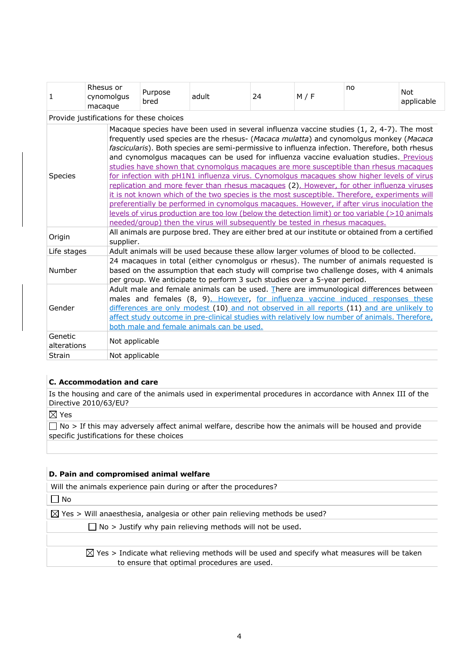| 1                      | Rhesus or<br>cynomolgus<br>macaque       | Purpose<br>bred                                                                                                                                                                                                                                                                                                                                                                                                                                                                                                                                                                                                                                                                                                                                                                                                                                                                                                                                                                                                                                       | adult                                                                                   | 24 | M / F | no | <b>Not</b><br>applicable |  |
|------------------------|------------------------------------------|-------------------------------------------------------------------------------------------------------------------------------------------------------------------------------------------------------------------------------------------------------------------------------------------------------------------------------------------------------------------------------------------------------------------------------------------------------------------------------------------------------------------------------------------------------------------------------------------------------------------------------------------------------------------------------------------------------------------------------------------------------------------------------------------------------------------------------------------------------------------------------------------------------------------------------------------------------------------------------------------------------------------------------------------------------|-----------------------------------------------------------------------------------------|----|-------|----|--------------------------|--|
|                        | Provide justifications for these choices |                                                                                                                                                                                                                                                                                                                                                                                                                                                                                                                                                                                                                                                                                                                                                                                                                                                                                                                                                                                                                                                       |                                                                                         |    |       |    |                          |  |
| <b>Species</b>         |                                          | Macaque species have been used in several influenza vaccine studies (1, 2, 4-7). The most<br>frequently used species are the rhesus- (Macaca mulatta) and cynomolgus monkey (Macaca<br>fascicularis). Both species are semi-permissive to influenza infection. Therefore, both rhesus<br>and cynomolgus macaques can be used for influenza vaccine evaluation studies. Previous<br>studies have shown that cynomolgus macaques are more susceptible than rhesus macaques<br>for infection with pH1N1 influenza virus. Cynomolgus macagues show higher levels of virus<br>replication and more fever than rhesus macagues (2). However, for other influenza viruses<br>it is not known which of the two species is the most susceptible. Therefore, experiments will<br>preferentially be performed in cynomolgus macagues. However, if after virus inoculation the<br>levels of virus production are too low (below the detection limit) or too variable (>10 animals<br>needed/group) then the virus will subsequently be tested in rhesus macaques. |                                                                                         |    |       |    |                          |  |
| Origin                 |                                          | All animals are purpose bred. They are either bred at our institute or obtained from a certified<br>supplier.                                                                                                                                                                                                                                                                                                                                                                                                                                                                                                                                                                                                                                                                                                                                                                                                                                                                                                                                         |                                                                                         |    |       |    |                          |  |
| Life stages            |                                          |                                                                                                                                                                                                                                                                                                                                                                                                                                                                                                                                                                                                                                                                                                                                                                                                                                                                                                                                                                                                                                                       | Adult animals will be used because these allow larger volumes of blood to be collected. |    |       |    |                          |  |
| Number                 |                                          | 24 macaques in total (either cynomolgus or rhesus). The number of animals requested is<br>based on the assumption that each study will comprise two challenge doses, with 4 animals<br>per group. We anticipate to perform 3 such studies over a 5-year period.                                                                                                                                                                                                                                                                                                                                                                                                                                                                                                                                                                                                                                                                                                                                                                                       |                                                                                         |    |       |    |                          |  |
| Gender                 |                                          | Adult male and female animals can be used. There are immunological differences between<br>males and females (8, 9). However, for influenza vaccine induced responses these<br>differences are only modest (10) and not observed in all reports (11) and are unlikely to<br>affect study outcome in pre-clinical studies with relatively low number of animals. Therefore,<br>both male and female animals can be used.                                                                                                                                                                                                                                                                                                                                                                                                                                                                                                                                                                                                                                |                                                                                         |    |       |    |                          |  |
| Genetic<br>alterations | Not applicable                           |                                                                                                                                                                                                                                                                                                                                                                                                                                                                                                                                                                                                                                                                                                                                                                                                                                                                                                                                                                                                                                                       |                                                                                         |    |       |    |                          |  |
| <b>Strain</b>          | Not applicable                           |                                                                                                                                                                                                                                                                                                                                                                                                                                                                                                                                                                                                                                                                                                                                                                                                                                                                                                                                                                                                                                                       |                                                                                         |    |       |    |                          |  |

## **C. Accommodation and care**

Is the housing and care of the animals used in experimental procedures in accordance with Annex III of the Directive 2010/63/EU?

 $\boxtimes$  Yes

 $\Box$  No > If this may adversely affect animal welfare, describe how the animals will be housed and provide specific justifications for these choices

## **D. Pain and compromised animal welfare**

Will the animals experience pain during or after the procedures?

 $\Box$  No

 $\boxtimes$  Yes > Will anaesthesia, analgesia or other pain relieving methods be used?

 $\Box$  No > Justify why pain relieving methods will not be used.

 $\boxtimes$  Yes > Indicate what relieving methods will be used and specify what measures will be taken to ensure that optimal procedures are used.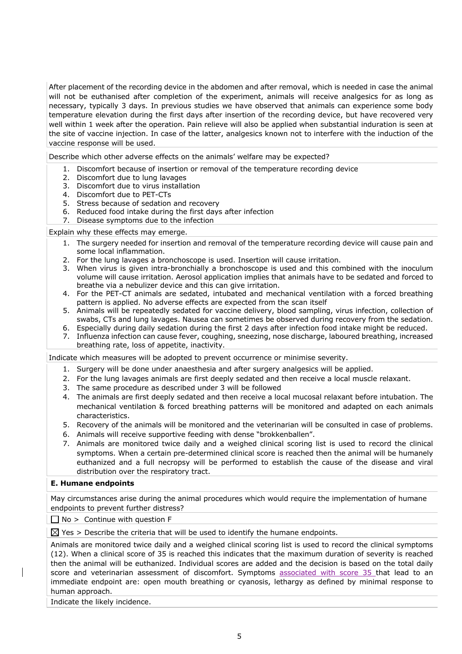After placement of the recording device in the abdomen and after removal, which is needed in case the animal will not be euthanised after completion of the experiment, animals will receive analgesics for as long as necessary, typically 3 days. In previous studies we have observed that animals can experience some body temperature elevation during the first days after insertion of the recording device, but have recovered very well within 1 week after the operation. Pain relieve will also be applied when substantial induration is seen at the site of vaccine injection. In case of the latter, analgesics known not to interfere with the induction of the vaccine response will be used.

Describe which other adverse effects on the animals' welfare may be expected?

- 1. Discomfort because of insertion or removal of the temperature recording device
- 2. Discomfort due to lung lavages
- 3. Discomfort due to virus installation
- 4. Discomfort due to PET-CTs
- 5. Stress because of sedation and recovery
- 6. Reduced food intake during the first days after infection
- 7. Disease symptoms due to the infection

Explain why these effects may emerge.

- 1. The surgery needed for insertion and removal of the temperature recording device will cause pain and some local inflammation.
- 2. For the lung lavages a bronchoscope is used. Insertion will cause irritation.
- 3. When virus is given intra-bronchially a bronchoscope is used and this combined with the inoculum volume will cause irritation. Aerosol application implies that animals have to be sedated and forced to breathe via a nebulizer device and this can give irritation.
- 4. For the PET-CT animals are sedated, intubated and mechanical ventilation with a forced breathing pattern is applied. No adverse effects are expected from the scan itself
- 5. Animals will be repeatedly sedated for vaccine delivery, blood sampling, virus infection, collection of swabs, CTs and lung lavages. Nausea can sometimes be observed during recovery from the sedation.
- 6. Especially during daily sedation during the first 2 days after infection food intake might be reduced.
- 7. Influenza infection can cause fever, coughing, sneezing, nose discharge, laboured breathing, increased breathing rate, loss of appetite, inactivity.

Indicate which measures will be adopted to prevent occurrence or minimise severity.

- 1. Surgery will be done under anaesthesia and after surgery analgesics will be applied.
- 2. For the lung lavages animals are first deeply sedated and then receive a local muscle relaxant.
- 3. The same procedure as described under 3 will be followed
- 4. The animals are first deeply sedated and then receive a local mucosal relaxant before intubation. The mechanical ventilation & forced breathing patterns will be monitored and adapted on each animals characteristics.
- 5. Recovery of the animals will be monitored and the veterinarian will be consulted in case of problems.
- 6. Animals will receive supportive feeding with dense "brokkenballen".
- 7. Animals are monitored twice daily and a weighed clinical scoring list is used to record the clinical symptoms. When a certain pre-determined clinical score is reached then the animal will be humanely euthanized and a full necropsy will be performed to establish the cause of the disease and viral distribution over the respiratory tract.

## **E. Humane endpoints**

May circumstances arise during the animal procedures which would require the implementation of humane endpoints to prevent further distress?

 $\Box$  No > Continue with question F

 $\boxtimes$  Yes > Describe the criteria that will be used to identify the humane endpoints.

Animals are monitored twice daily and a weighed clinical scoring list is used to record the clinical symptoms (12). When a clinical score of 35 is reached this indicates that the maximum duration of severity is reached then the animal will be euthanized. Individual scores are added and the decision is based on the total daily score and veterinarian assessment of discomfort. Symptoms associated with score 35 that lead to an immediate endpoint are: open mouth breathing or cyanosis, lethargy as defined by minimal response to human approach.

Indicate the likely incidence.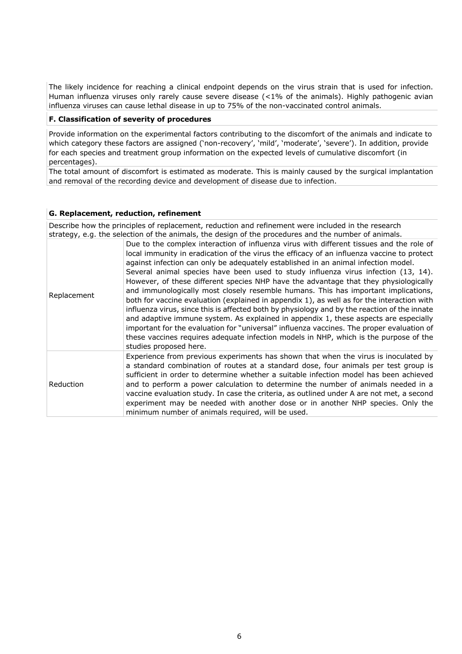The likely incidence for reaching a clinical endpoint depends on the virus strain that is used for infection. Human influenza viruses only rarely cause severe disease (<1% of the animals). Highly pathogenic avian influenza viruses can cause lethal disease in up to 75% of the non-vaccinated control animals.

#### **F. Classification of severity of procedures**

Provide information on the experimental factors contributing to the discomfort of the animals and indicate to which category these factors are assigned ('non-recovery', 'mild', 'moderate', 'severe'). In addition, provide for each species and treatment group information on the expected levels of cumulative discomfort (in percentages).

The total amount of discomfort is estimated as moderate. This is mainly caused by the surgical implantation and removal of the recording device and development of disease due to infection.

#### **G. Replacement, reduction, refinement**

Describe how the principles of replacement, reduction and refinement were included in the research strategy, e.g. the selection of the animals, the design of the procedures and the number of animals.

| Replacement | Due to the complex interaction of influenza virus with different tissues and the role of<br>local immunity in eradication of the virus the efficacy of an influenza vaccine to protect<br>against infection can only be adequately established in an animal infection model.<br>Several animal species have been used to study influenza virus infection (13, 14).<br>However, of these different species NHP have the advantage that they physiologically<br>and immunologically most closely resemble humans. This has important implications,<br>both for vaccine evaluation (explained in appendix 1), as well as for the interaction with<br>influenza virus, since this is affected both by physiology and by the reaction of the innate<br>and adaptive immune system. As explained in appendix 1, these aspects are especially<br>important for the evaluation for "universal" influenza vaccines. The proper evaluation of<br>these vaccines requires adequate infection models in NHP, which is the purpose of the<br>studies proposed here. |
|-------------|--------------------------------------------------------------------------------------------------------------------------------------------------------------------------------------------------------------------------------------------------------------------------------------------------------------------------------------------------------------------------------------------------------------------------------------------------------------------------------------------------------------------------------------------------------------------------------------------------------------------------------------------------------------------------------------------------------------------------------------------------------------------------------------------------------------------------------------------------------------------------------------------------------------------------------------------------------------------------------------------------------------------------------------------------------|
| Reduction   | Experience from previous experiments has shown that when the virus is inoculated by<br>a standard combination of routes at a standard dose, four animals per test group is<br>sufficient in order to determine whether a suitable infection model has been achieved<br>and to perform a power calculation to determine the number of animals needed in a<br>vaccine evaluation study. In case the criteria, as outlined under A are not met, a second<br>experiment may be needed with another dose or in another NHP species. Only the<br>minimum number of animals required, will be used.                                                                                                                                                                                                                                                                                                                                                                                                                                                           |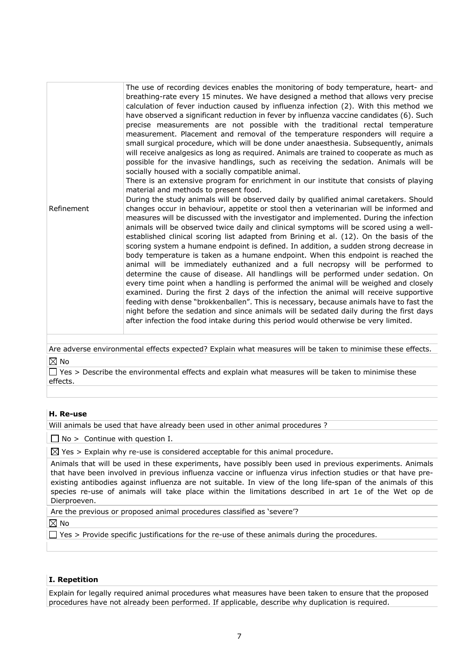Refinement The use of recording devices enables the monitoring of body temperature, heart- and breathing-rate every 15 minutes. We have designed a method that allows very precise calculation of fever induction caused by influenza infection (2). With this method we have observed a significant reduction in fever by influenza vaccine candidates (6). Such precise measurements are not possible with the traditional rectal temperature measurement. Placement and removal of the temperature responders will require a small surgical procedure, which will be done under anaesthesia. Subsequently, animals will receive analgesics as long as required. Animals are trained to cooperate as much as possible for the invasive handlings, such as receiving the sedation. Animals will be socially housed with a socially compatible animal. There is an extensive program for enrichment in our institute that consists of playing material and methods to present food. During the study animals will be observed daily by qualified animal caretakers. Should changes occur in behaviour, appetite or stool then a veterinarian will be informed and measures will be discussed with the investigator and implemented. During the infection animals will be observed twice daily and clinical symptoms will be scored using a wellestablished clinical scoring list adapted from Brining et al. (12). On the basis of the scoring system a humane endpoint is defined. In addition, a sudden strong decrease in body temperature is taken as a humane endpoint. When this endpoint is reached the animal will be immediately euthanized and a full necropsy will be performed to determine the cause of disease. All handlings will be performed under sedation. On every time point when a handling is performed the animal will be weighed and closely examined. During the first 2 days of the infection the animal will receive supportive feeding with dense "brokkenballen". This is necessary, because animals have to fast the night before the sedation and since animals will be sedated daily during the first days after infection the food intake during this period would otherwise be very limited.

Are adverse environmental effects expected? Explain what measures will be taken to minimise these effects.  $\boxtimes$  No

 $\Box$  Yes > Describe the environmental effects and explain what measures will be taken to minimise these effects.

## **H. Re-use**

Will animals be used that have already been used in other animal procedures ?

 $\Box$  No > Continue with question I.

 $\boxtimes$  Yes > Explain why re-use is considered acceptable for this animal procedure.

| Animals that will be used in these experiments, have possibly been used in previous experiments. Animals     |
|--------------------------------------------------------------------------------------------------------------|
| that have been involved in previous influenza vaccine or influenza virus infection studies or that have pre- |
| existing antibodies against influenza are not suitable. In view of the long life-span of the animals of this |
| species re-use of animals will take place within the limitations described in art 1e of the Wet op de        |
| Dierproeven.                                                                                                 |

Are the previous or proposed animal procedures classified as 'severe'?

 $\boxtimes$  No

 $\Box$  Yes > Provide specific justifications for the re-use of these animals during the procedures.

## **I. Repetition**

Explain for legally required animal procedures what measures have been taken to ensure that the proposed procedures have not already been performed. If applicable, describe why duplication is required.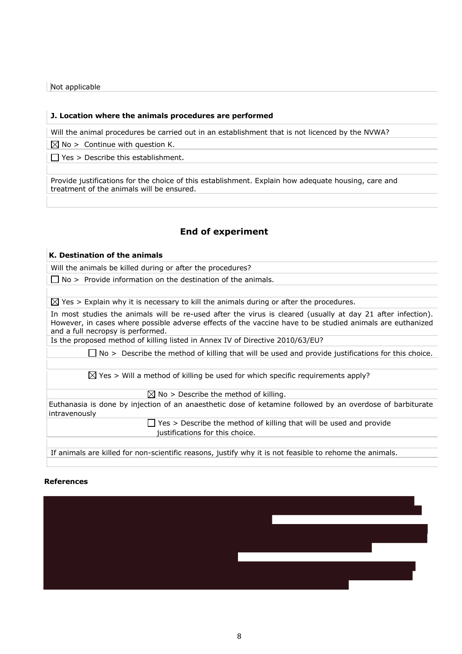Not applicable

#### **J. Location where the animals procedures are performed**

Will the animal procedures be carried out in an establishment that is not licenced by the NVWA?

 $\boxtimes$  No > Continue with question K.

 $\Box$  Yes > Describe this establishment.

Provide justifications for the choice of this establishment. Explain how adequate housing, care and treatment of the animals will be ensured.

## **End of experiment**

## **K. Destination of the animals**

Will the animals be killed during or after the procedures?

 $\Box$  No > Provide information on the destination of the animals.

 $\boxtimes$  Yes > Explain why it is necessary to kill the animals during or after the procedures.

In most studies the animals will be re-used after the virus is cleared (usually at day 21 after infection). However, in cases where possible adverse effects of the vaccine have to be studied animals are euthanized and a full necropsy is performed.

Is the proposed method of killing listed in Annex IV of Directive 2010/63/EU?

 $\Box$  No > Describe the method of killing that will be used and provide justifications for this choice.

 $\boxtimes$  Yes > Will a method of killing be used for which specific requirements apply?

 $\boxtimes$  No > Describe the method of killing.

Euthanasia is done by injection of an anaesthetic dose of ketamine followed by an overdose of barbiturate intravenously

> $\Box$  Yes > Describe the method of killing that will be used and provide justifications for this choice.

If animals are killed for non-scientific reasons, justify why it is not feasible to rehome the animals.

#### **References**